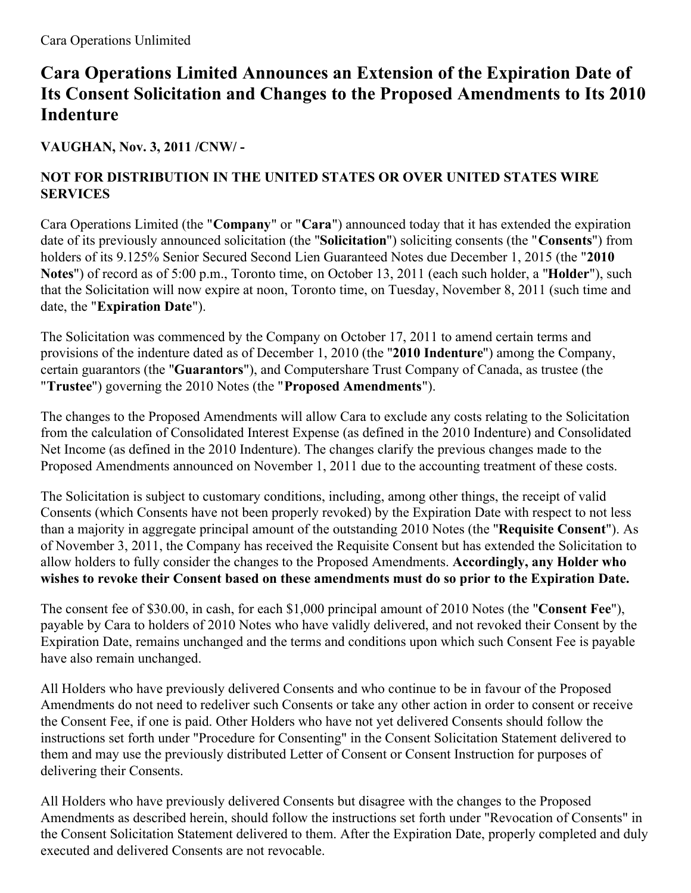## **Cara Operations Limited Announces an Extension of the Expiration Date of Its Consent Solicitation and Changes to the Proposed Amendments to Its 2010 Indenture**

**VAUGHAN, Nov. 3, 2011 /CNW/ -**

## **NOT FOR DISTRIBUTION IN THE UNITED STATES OR OVER UNITED STATES WIRE SERVICES**

Cara Operations Limited (the "**Company**" or "**Cara**") announced today that it has extended the expiration date of its previously announced solicitation (the "**Solicitation**") soliciting consents (the "**Consents**") from holders of its 9.125% Senior Secured Second Lien Guaranteed Notes due December 1, 2015 (the "**2010 Notes**") of record as of 5:00 p.m., Toronto time, on October 13, 2011 (each such holder, a "**Holder**"), such that the Solicitation will now expire at noon, Toronto time, on Tuesday, November 8, 2011 (such time and date, the "**Expiration Date**").

The Solicitation was commenced by the Company on October 17, 2011 to amend certain terms and provisions of the indenture dated as of December 1, 2010 (the "**2010 Indenture**") among the Company, certain guarantors (the "**Guarantors**"), and Computershare Trust Company of Canada, as trustee (the "**Trustee**") governing the 2010 Notes (the "**Proposed Amendments**").

The changes to the Proposed Amendments will allow Cara to exclude any costs relating to the Solicitation from the calculation of Consolidated Interest Expense (as defined in the 2010 Indenture) and Consolidated Net Income (as defined in the 2010 Indenture). The changes clarify the previous changes made to the Proposed Amendments announced on November 1, 2011 due to the accounting treatment of these costs.

The Solicitation is subject to customary conditions, including, among other things, the receipt of valid Consents (which Consents have not been properly revoked) by the Expiration Date with respect to not less than a majority in aggregate principal amount of the outstanding 2010 Notes (the "**Requisite Consent**"). As of November 3, 2011, the Company has received the Requisite Consent but has extended the Solicitation to allow holders to fully consider the changes to the Proposed Amendments. **Accordingly, any Holder who wishes to revoke their Consent based on these amendments must do so prior to the Expiration Date.**

The consent fee of \$30.00, in cash, for each \$1,000 principal amount of 2010 Notes (the "**Consent Fee**"), payable by Cara to holders of 2010 Notes who have validly delivered, and not revoked their Consent by the Expiration Date, remains unchanged and the terms and conditions upon which such Consent Fee is payable have also remain unchanged.

All Holders who have previously delivered Consents and who continue to be in favour of the Proposed Amendments do not need to redeliver such Consents or take any other action in order to consent or receive the Consent Fee, if one is paid. Other Holders who have not yet delivered Consents should follow the instructions set forth under "Procedure for Consenting" in the Consent Solicitation Statement delivered to them and may use the previously distributed Letter of Consent or Consent Instruction for purposes of delivering their Consents.

All Holders who have previously delivered Consents but disagree with the changes to the Proposed Amendments as described herein, should follow the instructions set forth under "Revocation of Consents" in the Consent Solicitation Statement delivered to them. After the Expiration Date, properly completed and duly executed and delivered Consents are not revocable.